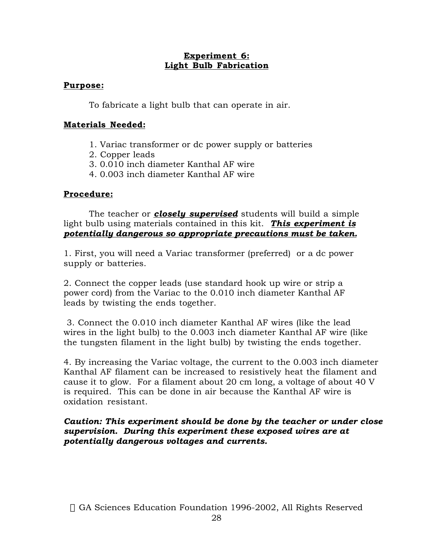## **Experiment 6: Light Bulb Fabrication**

## **Purpose:**

To fabricate a light bulb that can operate in air.

## **Materials Needed:**

- 1. Variac transformer or dc power supply or batteries
- 2. Copper leads
- 3. 0.010 inch diameter Kanthal AF wire
- 4. 0.003 inch diameter Kanthal AF wire

## **Procedure:**

The teacher or *closely supervised* students will build a simple light bulb using materials contained in this kit. *This experiment is potentially dangerous so appropriate precautions must be taken.*

1. First, you will need a Variac transformer (preferred) or a dc power supply or batteries.

2. Connect the copper leads (use standard hook up wire or strip a power cord) from the Variac to the 0.010 inch diameter Kanthal AF leads by twisting the ends together.

3. Connect the 0.010 inch diameter Kanthal AF wires (like the lead wires in the light bulb) to the 0.003 inch diameter Kanthal AF wire (like the tungsten filament in the light bulb) by twisting the ends together.

4. By increasing the Variac voltage, the current to the 0.003 inch diameter Kanthal AF filament can be increased to resistively heat the filament and cause it to glow. For a filament about 20 cm long, a voltage of about 40 V is required. This can be done in air because the Kanthal AF wire is oxidation resistant.

*Caution: This experiment should be done by the teacher or under close supervision. During this experiment these exposed wires are at potentially dangerous voltages and currents.*

© GA Sciences Education Foundation 1996-2002, All Rights Reserved